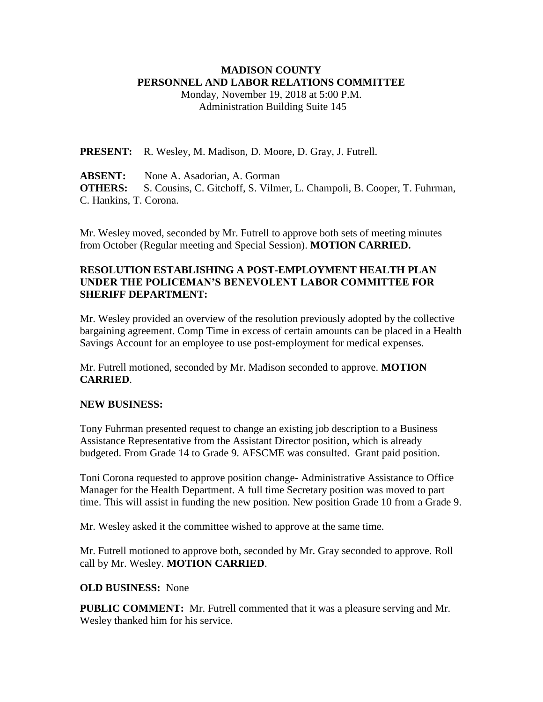### **MADISON COUNTY PERSONNEL AND LABOR RELATIONS COMMITTEE**

Monday, November 19, 2018 at 5:00 P.M. Administration Building Suite 145

**PRESENT:** R. Wesley, M. Madison, D. Moore, D. Gray, J. Futrell.

**ABSENT:** None A. Asadorian, A. Gorman **OTHERS:** S. Cousins, C. Gitchoff, S. Vilmer, L. Champoli, B. Cooper, T. Fuhrman, C. Hankins, T. Corona.

Mr. Wesley moved, seconded by Mr. Futrell to approve both sets of meeting minutes from October (Regular meeting and Special Session). **MOTION CARRIED.**

## **RESOLUTION ESTABLISHING A POST-EMPLOYMENT HEALTH PLAN UNDER THE POLICEMAN'S BENEVOLENT LABOR COMMITTEE FOR SHERIFF DEPARTMENT:**

Mr. Wesley provided an overview of the resolution previously adopted by the collective bargaining agreement. Comp Time in excess of certain amounts can be placed in a Health Savings Account for an employee to use post-employment for medical expenses.

Mr. Futrell motioned, seconded by Mr. Madison seconded to approve. **MOTION CARRIED**.

#### **NEW BUSINESS:**

Tony Fuhrman presented request to change an existing job description to a Business Assistance Representative from the Assistant Director position, which is already budgeted. From Grade 14 to Grade 9. AFSCME was consulted. Grant paid position.

Toni Corona requested to approve position change- Administrative Assistance to Office Manager for the Health Department. A full time Secretary position was moved to part time. This will assist in funding the new position. New position Grade 10 from a Grade 9.

Mr. Wesley asked it the committee wished to approve at the same time.

Mr. Futrell motioned to approve both, seconded by Mr. Gray seconded to approve. Roll call by Mr. Wesley. **MOTION CARRIED**.

#### **OLD BUSINESS:** None

**PUBLIC COMMENT:** Mr. Futrell commented that it was a pleasure serving and Mr. Wesley thanked him for his service.